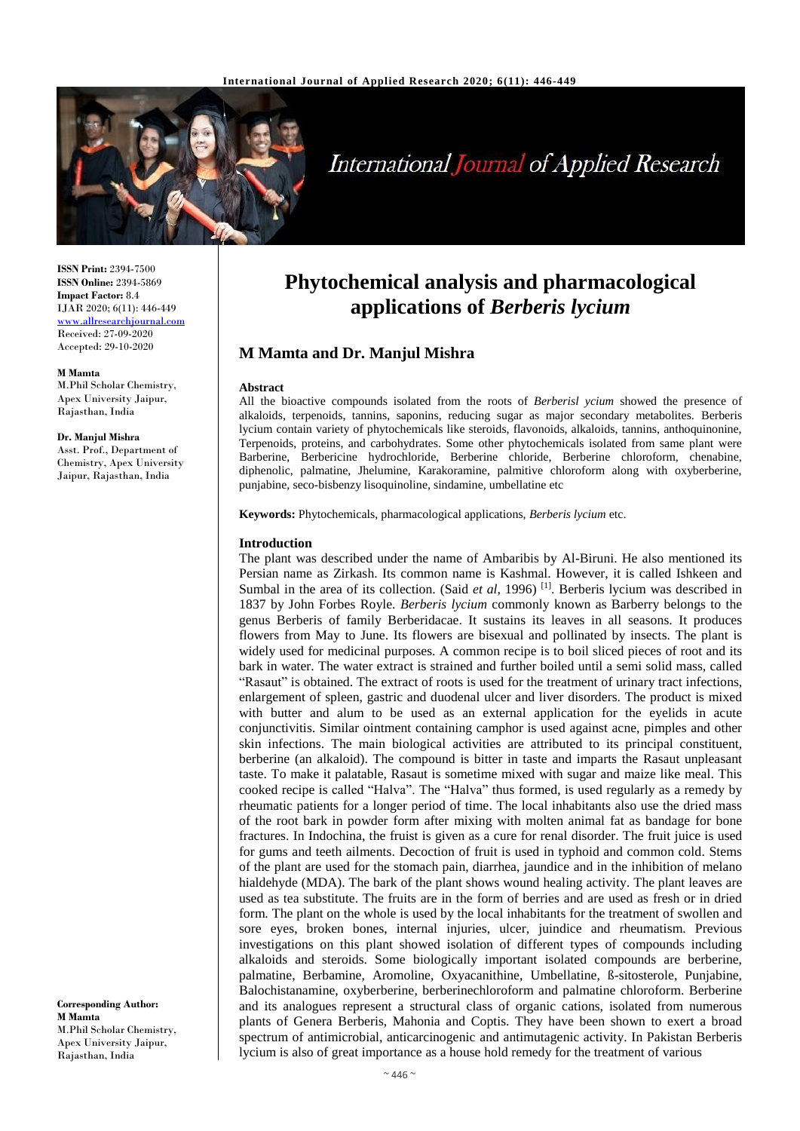

# **International Journal of Applied Research**

**ISSN Print:** 2394-7500 **ISSN Online:** 2394-5869 **Impact Factor:** 8.4 IJAR 2020; 6(11): 446-449 <www.allresearchjournal.com> Received: 27-09-2020 Accepted: 29-10-2020

#### **M Mamta**

M.Phil Scholar Chemistry, Apex University Jaipur, Rajasthan, India

#### **Dr. Manjul Mishra**

Asst. Prof., Department of Chemistry, Apex University Jaipur, Rajasthan, India

**Corresponding Author: M Mamta** M.Phil Scholar Chemistry, Apex University Jaipur, Rajasthan, India

## **Phytochemical analysis and pharmacological applications of** *Berberis lycium*

## **M Mamta and Dr. Manjul Mishra**

#### **Abstract**

All the bioactive compounds isolated from the roots of *Berberisl ycium* showed the presence of alkaloids, terpenoids, tannins, saponins, reducing sugar as major secondary metabolites. Berberis lycium contain variety of phytochemicals like steroids, flavonoids, alkaloids, tannins, anthoquinonine, Terpenoids, proteins, and carbohydrates. Some other phytochemicals isolated from same plant were Barberine, Berbericine hydrochloride, Berberine chloride, Berberine chloroform, chenabine, diphenolic, palmatine, Jhelumine, Karakoramine, palmitive chloroform along with oxyberberine, punjabine, seco-bisbenzy lisoquinoline, sindamine, umbellatine etc

**Keywords:** Phytochemicals, pharmacological applications, *Berberis lycium* etc.

#### **Introduction**

The plant was described under the name of Ambaribis by Al-Biruni. He also mentioned its Persian name as Zirkash. Its common name is Kashmal. However, it is called Ishkeen and Sumbal in the area of its collection. (Said *et al*, 1996)<sup>[1]</sup>. Berberis lycium was described in 1837 by John Forbes Royle. *Berberis lycium* commonly known as Barberry belongs to the genus Berberis of family Berberidacae. It sustains its leaves in all seasons. It produces flowers from May to June. Its flowers are bisexual and pollinated by insects. The plant is widely used for medicinal purposes. A common recipe is to boil sliced pieces of root and its bark in water. The water extract is strained and further boiled until a semi solid mass, called "Rasaut" is obtained. The extract of roots is used for the treatment of urinary tract infections, enlargement of spleen, gastric and duodenal ulcer and liver disorders. The product is mixed with butter and alum to be used as an external application for the eyelids in acute conjunctivitis. Similar ointment containing camphor is used against acne, pimples and other skin infections. The main biological activities are attributed to its principal constituent, berberine (an alkaloid). The compound is bitter in taste and imparts the Rasaut unpleasant taste. To make it palatable, Rasaut is sometime mixed with sugar and maize like meal. This cooked recipe is called "Halva". The "Halva" thus formed, is used regularly as a remedy by rheumatic patients for a longer period of time. The local inhabitants also use the dried mass of the root bark in powder form after mixing with molten animal fat as bandage for bone fractures. In Indochina, the fruist is given as a cure for renal disorder. The fruit juice is used for gums and teeth ailments. Decoction of fruit is used in typhoid and common cold. Stems of the plant are used for the stomach pain, diarrhea, jaundice and in the inhibition of melano hialdehyde (MDA). The bark of the plant shows wound healing activity. The plant leaves are used as tea substitute. The fruits are in the form of berries and are used as fresh or in dried form. The plant on the whole is used by the local inhabitants for the treatment of swollen and sore eyes, broken bones, internal injuries, ulcer, juindice and rheumatism. Previous investigations on this plant showed isolation of different types of compounds including alkaloids and steroids. Some biologically important isolated compounds are berberine, palmatine, Berbamine, Aromoline, Oxyacanithine, Umbellatine, ß-sitosterole, Punjabine, Balochistanamine, oxyberberine, berberinechloroform and palmatine chloroform. Berberine and its analogues represent a structural class of organic cations, isolated from numerous plants of Genera Berberis, Mahonia and Coptis. They have been shown to exert a broad spectrum of antimicrobial, anticarcinogenic and antimutagenic activity. In Pakistan Berberis lycium is also of great importance as a house hold remedy for the treatment of various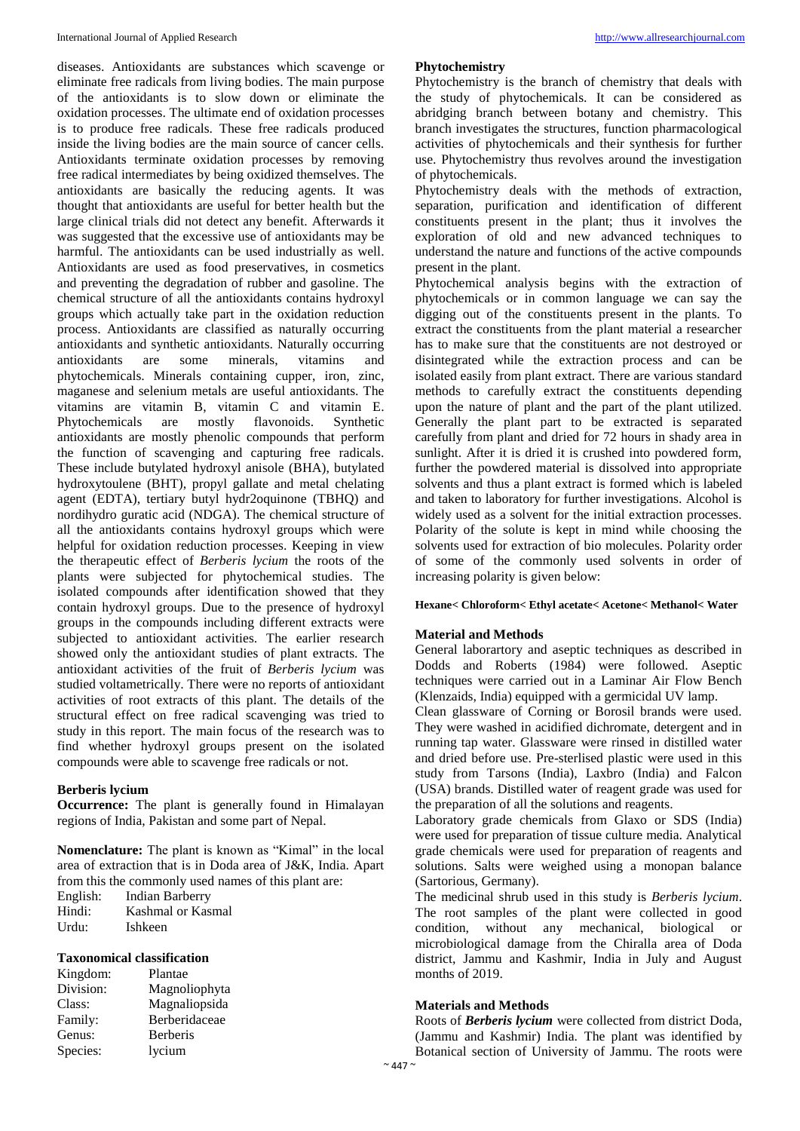diseases. Antioxidants are substances which scavenge or eliminate free radicals from living bodies. The main purpose of the antioxidants is to slow down or eliminate the oxidation processes. The ultimate end of oxidation processes is to produce free radicals. These free radicals produced inside the living bodies are the main source of cancer cells. Antioxidants terminate oxidation processes by removing free radical intermediates by being oxidized themselves. The antioxidants are basically the reducing agents. It was thought that antioxidants are useful for better health but the large clinical trials did not detect any benefit. Afterwards it was suggested that the excessive use of antioxidants may be harmful. The antioxidants can be used industrially as well. Antioxidants are used as food preservatives, in cosmetics and preventing the degradation of rubber and gasoline. The chemical structure of all the antioxidants contains hydroxyl groups which actually take part in the oxidation reduction process. Antioxidants are classified as naturally occurring antioxidants and synthetic antioxidants. Naturally occurring antioxidants are some minerals, vitamins and phytochemicals. Minerals containing cupper, iron, zinc, maganese and selenium metals are useful antioxidants. The vitamins are vitamin B, vitamin C and vitamin E. Phytochemicals are mostly flavonoids. Synthetic antioxidants are mostly phenolic compounds that perform the function of scavenging and capturing free radicals. These include butylated hydroxyl anisole (BHA), butylated hydroxytoulene (BHT), propyl gallate and metal chelating agent (EDTA), tertiary butyl hydr2oquinone (TBHQ) and nordihydro guratic acid (NDGA). The chemical structure of all the antioxidants contains hydroxyl groups which were helpful for oxidation reduction processes. Keeping in view the therapeutic effect of *Berberis lycium* the roots of the plants were subjected for phytochemical studies. The isolated compounds after identification showed that they contain hydroxyl groups. Due to the presence of hydroxyl groups in the compounds including different extracts were subjected to antioxidant activities. The earlier research showed only the antioxidant studies of plant extracts. The antioxidant activities of the fruit of *Berberis lycium* was studied voltametrically. There were no reports of antioxidant activities of root extracts of this plant. The details of the structural effect on free radical scavenging was tried to study in this report. The main focus of the research was to find whether hydroxyl groups present on the isolated compounds were able to scavenge free radicals or not.

#### **Berberis lycium**

**Occurrence:** The plant is generally found in Himalayan regions of India, Pakistan and some part of Nepal.

**Nomenclature:** The plant is known as "Kimal" in the local area of extraction that is in Doda area of J&K, India. Apart from this the commonly used names of this plant are: English: Indian Barberry Hindi: Kashmal or Kasmal Urdu: Ishkeen

### **Taxonomical classification**

| Kingdom:  | Plantae         |
|-----------|-----------------|
| Division: | Magnoliophyta   |
| Class:    | Magnaliopsida   |
| Family:   | Berberidaceae   |
| Genus:    | <b>Berberis</b> |
| Species:  | lycium          |

#### **Phytochemistry**

Phytochemistry is the branch of chemistry that deals with the study of phytochemicals. It can be considered as abridging branch between botany and chemistry. This branch investigates the structures, function pharmacological activities of phytochemicals and their synthesis for further use. Phytochemistry thus revolves around the investigation of phytochemicals.

Phytochemistry deals with the methods of extraction, separation, purification and identification of different constituents present in the plant; thus it involves the exploration of old and new advanced techniques to understand the nature and functions of the active compounds present in the plant.

Phytochemical analysis begins with the extraction of phytochemicals or in common language we can say the digging out of the constituents present in the plants. To extract the constituents from the plant material a researcher has to make sure that the constituents are not destroyed or disintegrated while the extraction process and can be isolated easily from plant extract. There are various standard methods to carefully extract the constituents depending upon the nature of plant and the part of the plant utilized. Generally the plant part to be extracted is separated carefully from plant and dried for 72 hours in shady area in sunlight. After it is dried it is crushed into powdered form, further the powdered material is dissolved into appropriate solvents and thus a plant extract is formed which is labeled and taken to laboratory for further investigations. Alcohol is widely used as a solvent for the initial extraction processes. Polarity of the solute is kept in mind while choosing the solvents used for extraction of bio molecules. Polarity order of some of the commonly used solvents in order of increasing polarity is given below:

#### **Hexane< Chloroform< Ethyl acetate< Acetone< Methanol< Water**

#### **Material and Methods**

General laborartory and aseptic techniques as described in Dodds and Roberts (1984) were followed. Aseptic techniques were carried out in a Laminar Air Flow Bench (Klenzaids, India) equipped with a germicidal UV lamp.

Clean glassware of Corning or Borosil brands were used. They were washed in acidified dichromate, detergent and in running tap water. Glassware were rinsed in distilled water and dried before use. Pre-sterlised plastic were used in this study from Tarsons (India), Laxbro (India) and Falcon (USA) brands. Distilled water of reagent grade was used for the preparation of all the solutions and reagents.

Laboratory grade chemicals from Glaxo or SDS (India) were used for preparation of tissue culture media. Analytical grade chemicals were used for preparation of reagents and solutions. Salts were weighed using a monopan balance (Sartorious, Germany).

The medicinal shrub used in this study is *Berberis lycium*. The root samples of the plant were collected in good condition, without any mechanical, biological or microbiological damage from the Chiralla area of Doda district, Jammu and Kashmir, India in July and August months of 2019.

#### **Materials and Methods**

Roots of *Berberis lycium* were collected from district Doda, (Jammu and Kashmir) India. The plant was identified by Botanical section of University of Jammu. The roots were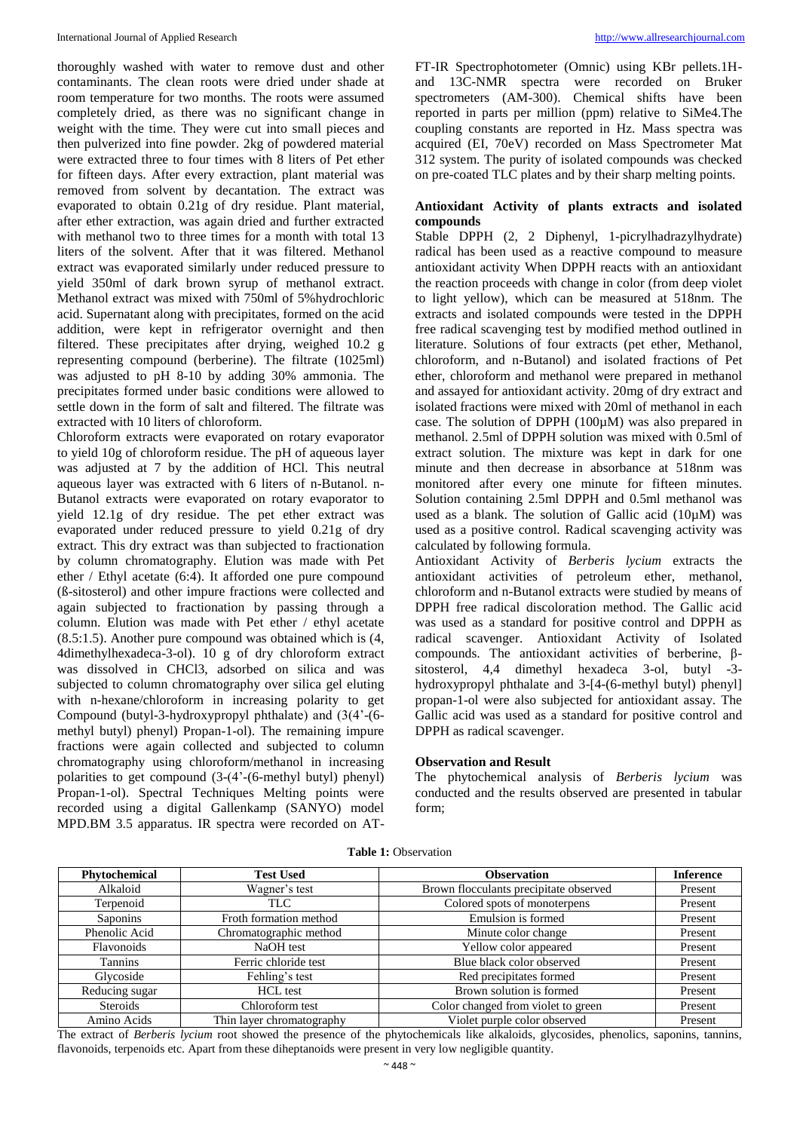thoroughly washed with water to remove dust and other contaminants. The clean roots were dried under shade at room temperature for two months. The roots were assumed completely dried, as there was no significant change in weight with the time. They were cut into small pieces and then pulverized into fine powder. 2kg of powdered material were extracted three to four times with 8 liters of Pet ether for fifteen days. After every extraction, plant material was removed from solvent by decantation. The extract was evaporated to obtain 0.21g of dry residue. Plant material, after ether extraction, was again dried and further extracted with methanol two to three times for a month with total 13 liters of the solvent. After that it was filtered. Methanol extract was evaporated similarly under reduced pressure to yield 350ml of dark brown syrup of methanol extract. Methanol extract was mixed with 750ml of 5%hydrochloric acid. Supernatant along with precipitates, formed on the acid addition, were kept in refrigerator overnight and then filtered. These precipitates after drying, weighed 10.2 g representing compound (berberine). The filtrate (1025ml) was adjusted to pH 8-10 by adding 30% ammonia. The precipitates formed under basic conditions were allowed to settle down in the form of salt and filtered. The filtrate was extracted with 10 liters of chloroform.

Chloroform extracts were evaporated on rotary evaporator to yield 10g of chloroform residue. The pH of aqueous layer was adjusted at 7 by the addition of HCl. This neutral aqueous layer was extracted with 6 liters of n-Butanol. n-Butanol extracts were evaporated on rotary evaporator to yield 12.1g of dry residue. The pet ether extract was evaporated under reduced pressure to yield 0.21g of dry extract. This dry extract was than subjected to fractionation by column chromatography. Elution was made with Pet ether / Ethyl acetate (6:4). It afforded one pure compound (ß-sitosterol) and other impure fractions were collected and again subjected to fractionation by passing through a column. Elution was made with Pet ether / ethyl acetate (8.5:1.5). Another pure compound was obtained which is (4, 4dimethylhexadeca-3-ol). 10 g of dry chloroform extract was dissolved in CHCl3, adsorbed on silica and was subjected to column chromatography over silica gel eluting with n-hexane/chloroform in increasing polarity to get Compound (butyl-3-hydroxypropyl phthalate) and (3(4'-(6 methyl butyl) phenyl) Propan-1-ol). The remaining impure fractions were again collected and subjected to column chromatography using chloroform/methanol in increasing polarities to get compound (3-(4'-(6-methyl butyl) phenyl) Propan-1-ol). Spectral Techniques Melting points were recorded using a digital Gallenkamp (SANYO) model MPD.BM 3.5 apparatus. IR spectra were recorded on AT-

FT-IR Spectrophotometer (Omnic) using KBr pellets.1Hand 13C-NMR spectra were recorded on Bruker spectrometers (AM-300). Chemical shifts have been reported in parts per million (ppm) relative to SiMe4.The coupling constants are reported in Hz. Mass spectra was acquired (EI, 70eV) recorded on Mass Spectrometer Mat 312 system. The purity of isolated compounds was checked on pre-coated TLC plates and by their sharp melting points.

## **Antioxidant Activity of plants extracts and isolated compounds**

Stable DPPH (2, 2 Diphenyl, 1-picrylhadrazylhydrate) radical has been used as a reactive compound to measure antioxidant activity When DPPH reacts with an antioxidant the reaction proceeds with change in color (from deep violet to light yellow), which can be measured at 518nm. The extracts and isolated compounds were tested in the DPPH free radical scavenging test by modified method outlined in literature. Solutions of four extracts (pet ether, Methanol, chloroform, and n-Butanol) and isolated fractions of Pet ether, chloroform and methanol were prepared in methanol and assayed for antioxidant activity. 20mg of dry extract and isolated fractions were mixed with 20ml of methanol in each case. The solution of DPPH (100µM) was also prepared in methanol. 2.5ml of DPPH solution was mixed with 0.5ml of extract solution. The mixture was kept in dark for one minute and then decrease in absorbance at 518nm was monitored after every one minute for fifteen minutes. Solution containing 2.5ml DPPH and 0.5ml methanol was used as a blank. The solution of Gallic acid  $(10\mu)$  was used as a positive control. Radical scavenging activity was calculated by following formula.

Antioxidant Activity of *Berberis lycium* extracts the antioxidant activities of petroleum ether, methanol, chloroform and n-Butanol extracts were studied by means of DPPH free radical discoloration method. The Gallic acid was used as a standard for positive control and DPPH as radical scavenger. Antioxidant Activity of Isolated compounds. The antioxidant activities of berberine, βsitosterol, 4,4 dimethyl hexadeca 3-ol, butyl -3 hydroxypropyl phthalate and 3-[4-(6-methyl butyl) phenyl] propan-1-ol were also subjected for antioxidant assay. The Gallic acid was used as a standard for positive control and DPPH as radical scavenger.

## **Observation and Result**

The phytochemical analysis of *Berberis lycium* was conducted and the results observed are presented in tabular form;

| <b>Phytochemical</b> | <b>Test Used</b>          | <b>Observation</b>                     | <b>Inference</b> |
|----------------------|---------------------------|----------------------------------------|------------------|
| Alkaloid             | Wagner's test             | Brown flocculants precipitate observed | Present          |
| Terpenoid            | TLC                       | Colored spots of monoterpens           | Present          |
| Saponins             | Froth formation method    | Emulsion is formed                     | Present          |
| Phenolic Acid        | Chromatographic method    | Minute color change                    | Present          |
| Flavonoids           | NaOH test                 | Yellow color appeared                  | Present          |
| Tannins              | Ferric chloride test      | Blue black color observed              | Present          |
| Glycoside            | Fehling's test            | Red precipitates formed                | Present          |
| Reducing sugar       | <b>HCL</b> test           | Brown solution is formed               | Present          |
| Steroids             | Chloroform test           | Color changed from violet to green     | Present          |
| Amino Acids          | Thin layer chromatography | Violet purple color observed           | Present          |

The extract of *Berberis lycium* root showed the presence of the phytochemicals like alkaloids, glycosides, phenolics, saponins, tannins, flavonoids, terpenoids etc. Apart from these diheptanoids were present in very low negligible quantity.